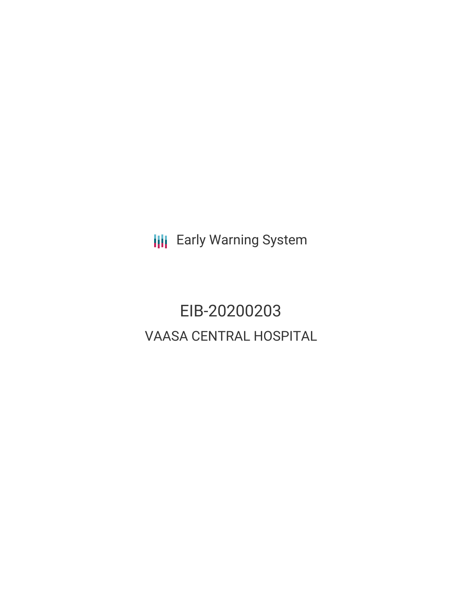**III** Early Warning System

EIB-20200203 VAASA CENTRAL HOSPITAL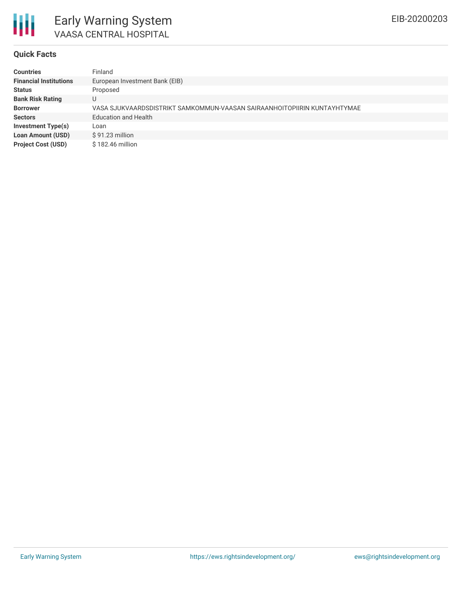

## **Quick Facts**

| <b>Countries</b>              | Finland                                                                  |
|-------------------------------|--------------------------------------------------------------------------|
| <b>Financial Institutions</b> | European Investment Bank (EIB)                                           |
| <b>Status</b>                 | Proposed                                                                 |
| <b>Bank Risk Rating</b>       | U                                                                        |
| <b>Borrower</b>               | VASA SJUKVAARDSDISTRIKT SAMKOMMUN-VAASAN SAIRAANHOITOPIIRIN KUNTAYHTYMAE |
| <b>Sectors</b>                | <b>Education and Health</b>                                              |
| <b>Investment Type(s)</b>     | Loan                                                                     |
| <b>Loan Amount (USD)</b>      | $$91.23$ million                                                         |
| <b>Project Cost (USD)</b>     | \$182.46 million                                                         |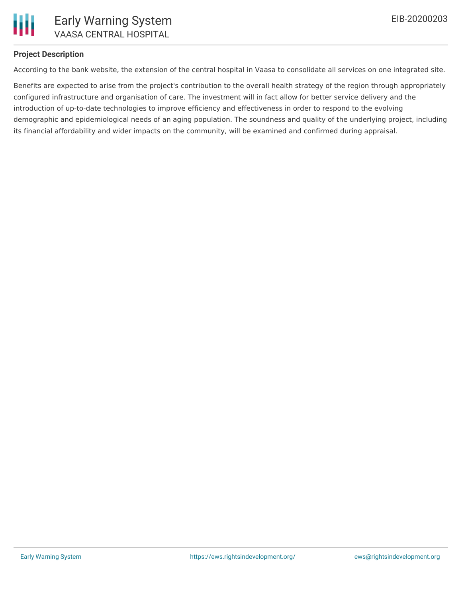

## **Project Description**

According to the bank website, the extension of the central hospital in Vaasa to consolidate all services on one integrated site.

Benefits are expected to arise from the project's contribution to the overall health strategy of the region through appropriately configured infrastructure and organisation of care. The investment will in fact allow for better service delivery and the introduction of up-to-date technologies to improve efficiency and effectiveness in order to respond to the evolving demographic and epidemiological needs of an aging population. The soundness and quality of the underlying project, including its financial affordability and wider impacts on the community, will be examined and confirmed during appraisal.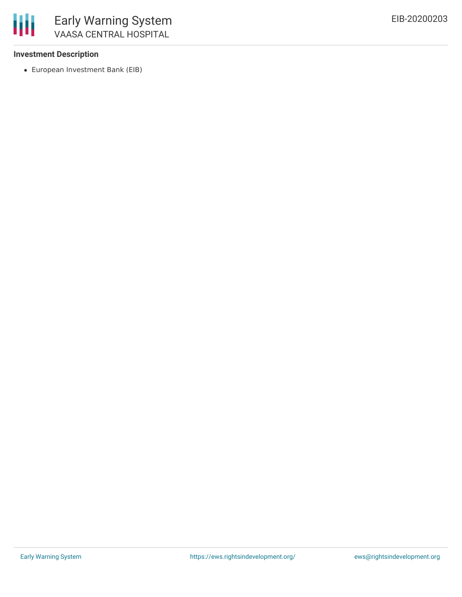

## **Investment Description**

European Investment Bank (EIB)